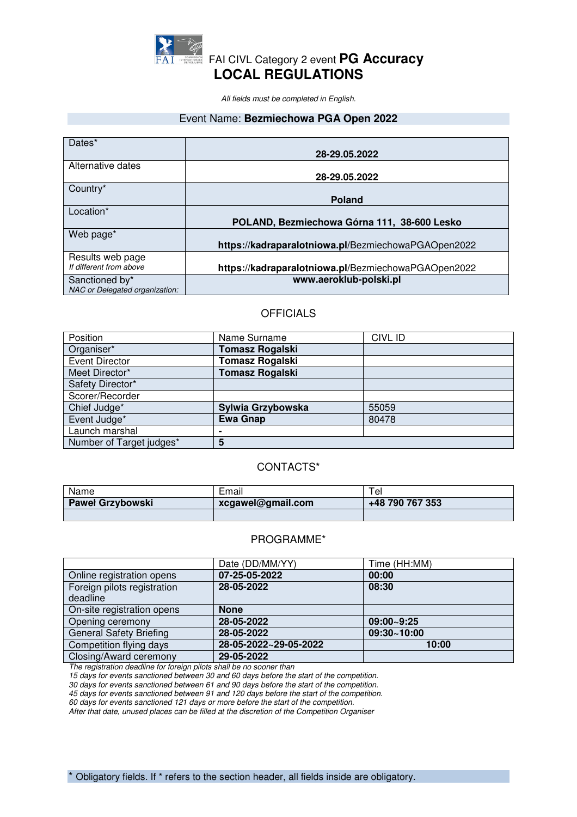

*All fields must be completed in English.* 

#### Event Name: **Bezmiechowa PGA Open 2022**

| Dates*                         |                                                     |
|--------------------------------|-----------------------------------------------------|
|                                |                                                     |
|                                | 28-29.05.2022                                       |
|                                |                                                     |
| Alternative dates              |                                                     |
|                                | 28-29.05.2022                                       |
|                                |                                                     |
| Country*                       |                                                     |
|                                |                                                     |
|                                | <b>Poland</b>                                       |
| Location*                      |                                                     |
|                                |                                                     |
|                                | POLAND, Bezmiechowa Górna 111, 38-600 Lesko         |
|                                |                                                     |
| Web page*                      |                                                     |
|                                |                                                     |
|                                | https://kadraparalotniowa.pl/BezmiechowaPGAOpen2022 |
| Results web page               |                                                     |
|                                |                                                     |
| If different from above        | https://kadraparalotniowa.pl/BezmiechowaPGAOpen2022 |
|                                |                                                     |
| Sanctioned by*                 | www.aeroklub-polski.pl                              |
| NAC or Delegated organization: |                                                     |
|                                |                                                     |

### **OFFICIALS**

| Position                 | Name Surname           | <b>CIVL ID</b> |
|--------------------------|------------------------|----------------|
| Organiser*               | <b>Tomasz Rogalski</b> |                |
| <b>Event Director</b>    | <b>Tomasz Rogalski</b> |                |
| Meet Director*           | <b>Tomasz Rogalski</b> |                |
| Safety Director*         |                        |                |
| Scorer/Recorder          |                        |                |
| Chief Judge*             | Sylwia Grzybowska      | 55059          |
| Event Judge*             | <b>Ewa Gnap</b>        | 80478          |
| Launch marshal           |                        |                |
| Number of Target judges* | 5                      |                |

### CONTACTS\*

| Name                    | Email             | e               |
|-------------------------|-------------------|-----------------|
| <b>Paweł Grzybowski</b> | xcgawel@gmail.com | +48 790 767 353 |
|                         |                   |                 |

## PROGRAMME\*

|                                | Date (DD/MM/YY)       | Time (HH:MM) |
|--------------------------------|-----------------------|--------------|
| Online registration opens      | 07-25-05-2022         | 00:00        |
| Foreign pilots registration    | 28-05-2022            | 08:30        |
| deadline                       |                       |              |
| On-site registration opens     | <b>None</b>           |              |
| Opening ceremony               | 28-05-2022            | 09:00~9:25   |
| <b>General Safety Briefing</b> | 28-05-2022            | 09:30~10:00  |
| Competition flying days        | 28-05-2022~29-05-2022 | 10:00        |
| Closing/Award ceremony         | 29-05-2022            |              |

*The registration deadline for foreign pilots shall be no sooner than* 

*15 days for events sanctioned between 30 and 60 days before the start of the competition.* 

*30 days for events sanctioned between 61 and 90 days before the start of the competition.* 

*45 days for events sanctioned between 91 and 120 days before the start of the competition.* 

*60 days for events sanctioned 121 days or more before the start of the competition.* 

*After that date, unused places can be filled at the discretion of the Competition Organiser*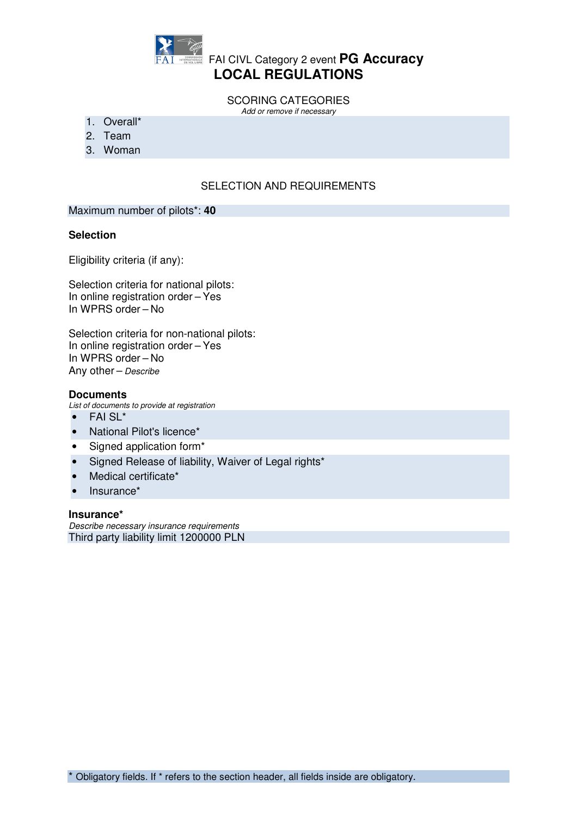

# **FAI CIVL Category 2 event PG Accuracy LOCAL REGULATIONS**

SCORING CATEGORIES *Add or remove if necessary* 

- 1. Overall\*
- 2. Team
- 3. Woman

## SELECTION AND REQUIREMENTS

### Maximum number of pilots\*: **40**

### **Selection**

Eligibility criteria (if any):

Selection criteria for national pilots: In online registration order – Yes In WPRS order – No

Selection criteria for non-national pilots: In online registration order – Yes In WPRS order – No Any other – *Describe*

#### **Documents**

*List of documents to provide at registration* 

- FAI SL\*
- National Pilot's licence\*
- Signed application form\*
- Signed Release of liability, Waiver of Legal rights\*
- Medical certificate\*
- Insurance\*

#### **Insurance\***

*Describe necessary insurance requirements*  Third party liability limit 1200000 PLN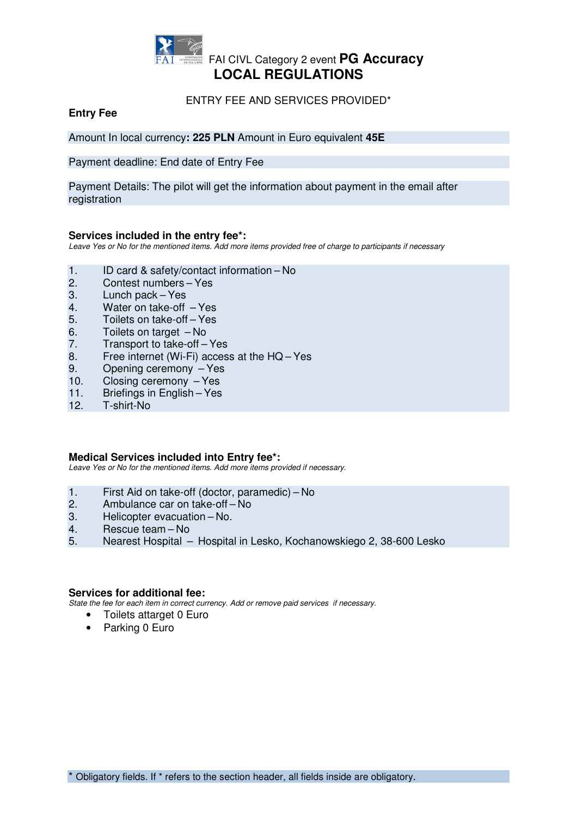

### ENTRY FEE AND SERVICES PROVIDED\*

## **Entry Fee**

Amount In local currency**: 225 PLN** Amount in Euro equivalent **45E**

Payment deadline: End date of Entry Fee

Payment Details: The pilot will get the information about payment in the email after registration

### **Services included in the entry fee\*:**

*Leave Yes or No for the mentioned items. Add more items provided free of charge to participants if necessary* 

- 1. ID card & safety/contact information No
- 2. Contest numbers Yes
- 3. Lunch pack Yes
- 4. Water on take-off Yes
- 5. Toilets on take-off Yes
- 6. Toilets on target No
- 7. Transport to take-off Yes
- 8. Free internet (Wi-Fi) access at the HQ Yes
- 9. Opening ceremony Yes
- 10. Closing ceremony Yes
- 11. Briefings in English Yes
- 12. T-shirt-No

#### **Medical Services included into Entry fee\*:**

*Leave Yes or No for the mentioned items. Add more items provided if necessary.* 

- 1. First Aid on take-off (doctor, paramedic) No
- 2. Ambulance car on take-off-No<br>3. Helicopter evacuation-No.
- Helicopter evacuation No.
- 4. Rescue team No
- 5. Nearest Hospital Hospital in Lesko, Kochanowskiego 2, 38-600 Lesko

#### **Services for additional fee:**

*State the fee for each item in correct currency. Add or remove paid services if necessary.* 

- Toilets attarget 0 Euro
- Parking 0 Euro